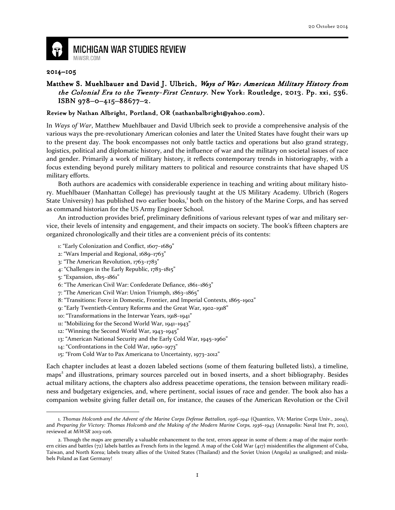

## **MICHIGAN WAR STUDIES REVIEW**

## 2014–105

## Matthew S. Muehlbauer and David J. Ulbrich, Ways of War: American Military History from the Colonial Era to the Twenty-First Century. New York: Routledge, 2013. Pp. xxi, 536. ISBN 978-0-415-88677-2.

## Review by Nathan Albright, Portland, OR (nathanbalbright@yahoo.com).

In Ways of War, Matthew Muehlbauer and David Ulbrich seek to provide a comprehensive analysis of the various ways the pre-revolutionary American colonies and later the United States have fought their wars up to the present day. The book encompasses not only battle tactics and operations but also grand strategy, logistics, political and diplomatic history, and the influence of war and the military on societal issues of race and gender. Primarily a work of military history, it reflects contemporary trends in historiography, with a focus extending beyond purely military matters to political and resource constraints that have shaped US military efforts.

Both authors are academics with considerable experience in teaching and writing about military history. Muehlbauer (Manhattan College) has previously taught at the US Military Academy. Ulbrich (Rogers State University) has published two earlier books,<sup>1</sup> both on the history of the Marine Corps, and has served as command historian for the US Army Engineer School.

An introduction provides brief, preliminary definitions of various relevant types of war and military service, their levels of intensity and engagement, and their impacts on society. The book's fifteen chapters are organized chronologically and their titles are a convenient précis of its contents:

- 1: "Early Colonization and Conflict, 1607–1689"
- 2: "Wars Imperial and Regional, 1689–1763"
- 3: "The American Revolution, 1763–1783"
- 4: "Challenges in the Early Republic, 1783–1815"
- 5: "Expansion, 1815–1861"

 $\overline{a}$ 

- 6: "The American Civil War: Confederate Defiance, 1861–1863"
- 7: "The American Civil War: Union Triumph, 1863–1865"
- 8: "Transitions: Force in Domestic, Frontier, and Imperial Contexts, 1865–1902"
- 9: "Early Twentieth-Century Reforms and the Great War, 1902–1918"
- 10: "Transformations in the Interwar Years, 1918–1941"
- 11: "Mobilizing for the Second World War, 1941–1943"
- 12: "Winning the Second World War, 1943–1945"
- 13: "American National Security and the Early Cold War, 1945–1960"
- 14: "Confrontations in the Cold War, 1960–1973"
- 15: "From Cold War to Pax Americana to Uncertainty, 1973–2012"

Each chapter includes at least a dozen labeled sections (some of them featuring bulleted lists), a timeline, maps 2 and illustrations, primary sources parceled out in boxed inserts, and a short bibliography. Besides actual military actions, the chapters also address peacetime operations, the tension between military readiness and budgetary exigencies, and, where pertinent, social issues of race and gender. The book also has a companion website giving fuller detail on, for instance, the causes of the American Revolution or the Civil

<sup>1.</sup> Thomas Holcomb and the Advent of the Marine Corps Defense Battalion, 1936–1941 (Quantico, VA: Marine Corps Univ., 2004), and Preparing for Victory: Thomas Holcomb and the Making of the Modern Marine Corps, 1936-1943 (Annapolis: Naval Inst Pr, 2011), reviewed at MiWSR 2013-026.

<sup>2.</sup> Though the maps are generally a valuable enhancement to the text, errors appear in some of them: a map of the major northern cities and battles (72) labels battles as French forts in the legend. A map of the Cold War (417) misidentifies the alignment of Cuba, Taiwan, and North Korea; labels treaty allies of the United States (Thailand) and the Soviet Union (Angola) as unaligned; and mislabels Poland as East Germany!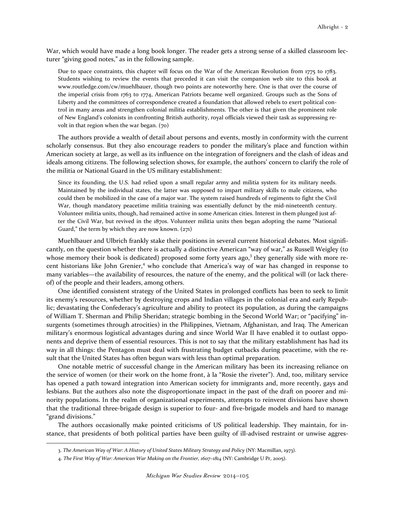War, which would have made a long book longer. The reader gets a strong sense of a skilled classroom lecturer "giving good notes," as in the following sample.

Due to space constraints, this chapter will focus on the War of the American Revolution from 1775 to 1783. Students wishing to review the events that preceded it can visit the companion web site to this book at www.routledge.com/cw/muehlbauer, though two points are noteworthy here. One is that over the course of the imperial crisis from 1763 to 1774, American Patriots became well organized. Groups such as the Sons of Liberty and the committees of correspondence created a foundation that allowed rebels to exert political control in many areas and strengthen colonial militia establishments. The other is that given the prominent role of New England's colonists in confronting British authority, royal officials viewed their task as suppressing revolt in that region when the war began. (70)

The authors provide a wealth of detail about persons and events, mostly in conformity with the current scholarly consensus. But they also encourage readers to ponder the military's place and function within American society at large, as well as its influence on the integration of foreigners and the clash of ideas and ideals among citizens. The following selection shows, for example, the authors' concern to clarify the role of the militia or National Guard in the US military establishment:

Since its founding, the U.S. had relied upon a small regular army and militia system for its military needs. Maintained by the individual states, the latter was supposed to impart military skills to male citizens, who could then be mobilized in the case of a major war. The system raised hundreds of regiments to fight the Civil War, though mandatory peacetime militia training was essentially defunct by the mid-nineteenth century. Volunteer militia units, though, had remained active in some American cities. Interest in them plunged just after the Civil War, but revived in the 1870s. Volunteer militia units then began adopting the name "National Guard," the term by which they are now known. (271)

Muehlbauer and Ulbrich frankly stake their positions in several current historical debates. Most significantly, on the question whether there is actually a distinctive American "way of war," as Russell Weigley (to whose memory their book is dedicated) proposed some forty years ago,<sup>3</sup> they generally side with more recent historians like John Grenier,<sup>4</sup> who conclude that America's way of war has changed in response to many variables—the availability of resources, the nature of the enemy, and the political will (or lack thereof) of the people and their leaders, among others.

One identified consistent strategy of the United States in prolonged conflicts has been to seek to limit its enemy's resources, whether by destroying crops and Indian villages in the colonial era and early Republic; devastating the Confederacy's agriculture and ability to protect its population, as during the campaigns of William T. Sherman and Philip Sheridan; strategic bombing in the Second World War; or "pacifying" insurgents (sometimes through atrocities) in the Philippines, Vietnam, Afghanistan, and Iraq. The American military's enormous logistical advantages during and since World War II have enabled it to outlast opponents and deprive them of essential resources. This is not to say that the military establishment has had its way in all things: the Pentagon must deal with frustrating budget cutbacks during peacetime, with the result that the United States has often begun wars with less than optimal preparation.

One notable metric of successful change in the American military has been its increasing reliance on the service of women (or their work on the home front, à la "Rosie the riveter"). And, too, military service has opened a path toward integration into American society for immigrants and, more recently, gays and lesbians. But the authors also note the disproportionate impact in the past of the draft on poorer and minority populations. In the realm of organizational experiments, attempts to reinvent divisions have shown that the traditional three-brigade design is superior to four- and five-brigade models and hard to manage "grand divisions."

The authors occasionally make pointed criticisms of US political leadership. They maintain, for instance, that presidents of both political parties have been guilty of ill-advised restraint or unwise aggres-

 $\overline{\phantom{0}}$ 

<sup>3.</sup> The American Way of War: A History of United States Military Strategy and Policy (NY: Macmillan, 1973).

<sup>4.</sup> The First Way of War: American War Making on the Frontier, 1607–1814 (NY: Cambridge U Pr, 2005).